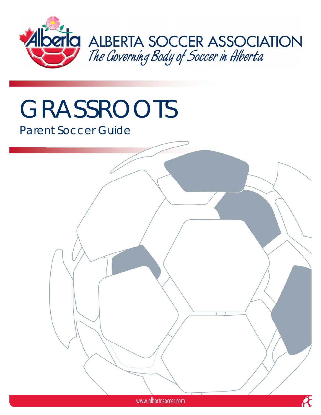

# GRASSROOTS

# Parent Soccer Guide

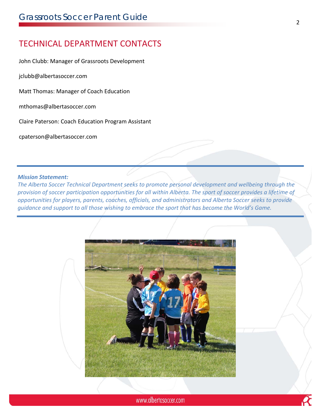# TECHNICAL DEPARTMENT CONTACTS

John Clubb: Manager of Grassroots Development

jclubb@albertasoccer.com

Matt Thomas: Manager of Coach Education

mthomas@albertasoccer.com

Claire Paterson: Coach Education Program Assistant

cpaterson@albertasoccer.com

#### *Mission Statement:*

*The Alberta Soccer Technical Department seeks to promote personal development and wellbeing through the* provision of soccer participation opportunities for all within Alberta. The sport of soccer provides a lifetime of *opportunities for players, parents, coaches, officials, and administrators and Alberta Soccer seeks to provide guidance and support to all those wishing to embrace the sport that has become the World's Game.* 

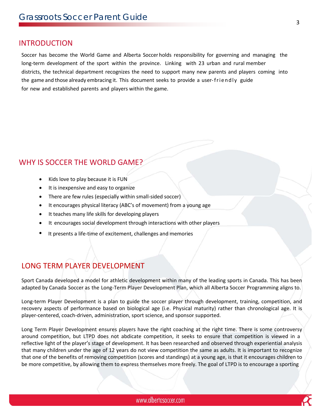#### INTRODUCTION

Soccer has become the World Game and Alberta Soccer holds responsibility for governing and managing the long-term development of the sport within the province. Linking with 23 urban and rural member districts, the technical department recognizes the need to support many new parents and players coming into the game and those already embracing it. This document seeks to provide a user-friendly guide for new and established parents and players within the game.

#### WHY IS SOCCER THE WORLD GAME?

- Kids love to play because it is FUN
- It is inexpensive and easy to organize
- There are few rules (especially within small-sided soccer)
- It encourages physical literacy (ABC's of movement) from a young age
- It teaches many life skills for developing players
- It encourages social development through interactions with other players
- It presents a life-time of excitement, challenges and memories

# LONG TERM PLAYER DEVELOPMENT

Sport Canada developed a model for athletic development within many of the leading sports in Canada. This has been adapted by Canada Soccer as the Long‐Term Player Development Plan, which all Alberta Soccer Programming aligns to.

Long-term Player Development is a plan to guide the soccer player through development, training, competition, and recovery aspects of performance based on biological age (i.e. Physical maturity) rather than chronological age. It is player-centered, coach-driven, administration, sport science, and sponsor supported.

Long Term Player Development ensures players have the right coaching at the right time. There is some controversy around competition, but LTPD does not abdicate competition, it seeks to ensure that competition is viewed in a reflective light of the player's stage of development. It has been researched and observed through experiential analysis that many children under the age of 12 years do not view competition the same as adults. It is important to recognize that one of the benefits of removing competition (scores and standings) at a young age, is that it encourages children to be more competitive, by allowing them to express themselves more freely. The goal of LTPD is to encourage a sporting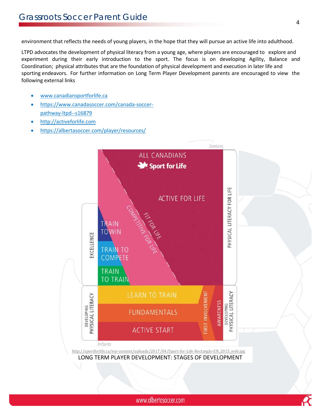environment that reflects the needs of young players, in the hope that they will pursue an active life into adulthood.

LTPD advocates the development of physical literacy from a young age, where players are encouraged to explore and experiment during their early introduction to the sport. The focus is on developing Agility, Balance and Coordination; physical attributes that are the foundation of physical development and execution in later life and sporting endeavors. For further information on Long Term Player Development parents are encouraged to view the following external links

- www.canadiansportforlife.ca
- https://www.canadasoccer.com/canada‐soccer‐ pathway‐ltpd‐‐s16879
- http://activeforlife.com
- https://albertasoccer.com/player/resources/

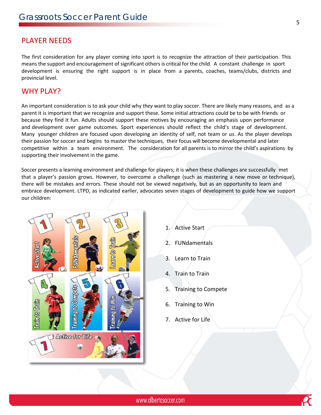#### PLAYER NEEDS

The first consideration for any player coming into sport is to recognize the attraction of their participation. This means the support and encouragement of significant others is critical for the child. A constant challenge in sport development is ensuring the right support is in place from a parents, coaches, teams/clubs, districts and provincial level.

#### WHY PLAY?

An important consideration is to ask your child why *they* want to play soccer. There are likely many reasons, and as a parent it is important that we recognize and support these. Some initial attractions could be to be with friends or because they find it fun. Adults should support these motives by encouraging an emphasis upon performance and development over game outcomes. Sport experiences should reflect the child's stage of development. Many younger children are focused upon developing an identity of self, not team or *us*. As the player develops their passion for soccer and begins to master the techniques, their focus will become developmental and later competitive within a team environment. The consideration for all parents is to mirror the child's aspirations by supporting their involvement in the game.

Soccer presents a learning environment and challenge for players; it is when these challenges are successfully met that a player's passion grows. However, to overcome a challenge (such as mastering a new move or technique), there will be mistakes and errors. These should not be viewed negatively, but as an opportunity to learn and embrace development. LTPD, as indicated earlier, advocates seven stages of development to guide how we support our children:



- 1. Active Start
- 2. FUNdamentals
- 3. Learn to Train
- 4. Train to Train
- 5. Training to Compete
- 6. Training to Win
- 7. Active for Life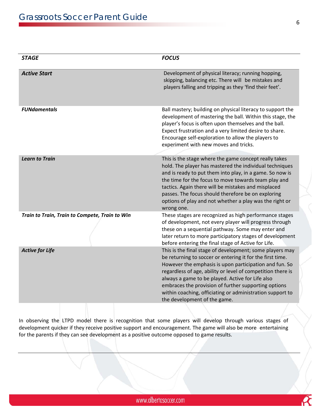| <b>STAGE</b>                                   | <b>FOCUS</b>                                                                                                                                                                                                                                                                                                                                                                                                                                            |  |  |
|------------------------------------------------|---------------------------------------------------------------------------------------------------------------------------------------------------------------------------------------------------------------------------------------------------------------------------------------------------------------------------------------------------------------------------------------------------------------------------------------------------------|--|--|
| <b>Active Start</b>                            | Development of physical literacy; running hopping,<br>skipping, balancing etc. There will be mistakes and<br>players falling and tripping as they 'find their feet'.                                                                                                                                                                                                                                                                                    |  |  |
| <b>FUNdamentals</b>                            | Ball mastery; building on physical literacy to support the<br>development of mastering the ball. Within this stage, the<br>player's focus is often upon themselves and the ball.<br>Expect frustration and a very limited desire to share.<br>Encourage self-exploration to allow the players to<br>experiment with new moves and tricks.                                                                                                               |  |  |
| <b>Learn to Train</b>                          | This is the stage where the game concept really takes<br>hold. The player has mastered the individual techniques<br>and is ready to put them into play, in a game. So now is<br>the time for the focus to move towards team play and<br>tactics. Again there will be mistakes and misplaced<br>passes. The focus should therefore be on exploring<br>options of play and not whether a play was the right or<br>wrong one.                              |  |  |
| Train to Train, Train to Compete, Train to Win | These stages are recognized as high performance stages<br>of development, not every player will progress through<br>these on a sequential pathway. Some may enter and<br>later return to more participatory stages of development<br>before entering the final stage of Active for Life.                                                                                                                                                                |  |  |
| <b>Active for Life</b>                         | This is the final stage of development; some players may<br>be returning to soccer or entering it for the first time.<br>However the emphasis is upon participation and fun. So<br>regardless of age, ability or level of competition there is<br>always a game to be played. Active for Life also<br>embraces the provision of further supporting options<br>within coaching, officiating or administration support to<br>the development of the game. |  |  |

In observing the LTPD model there is recognition that some players will develop through various stages of development quicker if they receive positive support and encouragement. The game will also be more entertaining for the parents if they can see development as a positive outcome opposed to game results.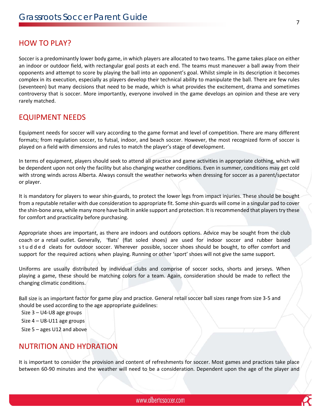#### HOW TO PLAY?

Soccer is a predominantly lower body game, in which players are allocated to two teams. The game takes place on either an indoor or outdoor field, with rectangular goal posts at each end. The teams must maneuver a ball away from their opponents and attempt to score by playing the ball into an opponent's goal. Whilst simple in its description it becomes complex in its execution, especially as players develop their technical ability to manipulate the ball. There are few rules (seventeen) but many decisions that need to be made, which is what provides the excitement, drama and sometimes controversy that is soccer. More importantly, everyone involved in the game develops an opinion and these are very rarely matched.

#### EQUIPMENT NEEDS

Equipment needs for soccer will vary according to the game format and level of competition. There are many different formats; from regulation soccer, to futsal, indoor, and beach soccer. However, the most recognized form of soccer is played on a field with dimensions and rules to match the player's stage of development.

In terms of equipment, players should seek to attend all practice and game activities in appropriate clothing, which will be dependent upon not only the facility but also changing weather conditions. Even in summer, conditions may get cold with strong winds across Alberta. Always consult the weather networks when dressing for soccer as a parent/spectator or player.

It is mandatory for players to wear shin‐guards, to protect the lower legs from impact injuries. These should be bought from a reputable retailer with due consideration to appropriate fit. Some shin‐guards will come in a singular pad to cover the shin-bone area, while many more have built in ankle support and protection. It is recommended that players try these for comfort and practicality before purchasing.

Appropriate shoes are important, as there are indoors and outdoors options. Advice may be sought from the club coach or a retail outlet. Generally, 'flats' (flat soled shoes) are used for indoor soccer and rubber based studded cleats for outdoor soccer. Wherever possible, soccer shoes should be bought, to offer comfort and support for the required actions when playing. Running or other 'sport' shoes will not give the same support.

Uniforms are usually distributed by individual clubs and comprise of soccer socks, shorts and jerseys. When playing a game, these should be matching colors for a team. Again, consideration should be made to reflect the changing climatic conditions.

Ball size is an important factor for game play and practice. General retail soccer ball sizes range from size 3‐5 and should be used according to the age appropriate guidelines:

Size 3 – U4‐U8 age groups

Size 4 – U8‐U11 age groups

Size 5 – ages U12 and above

#### NUTRITION AND HYDRATION

It is important to consider the provision and content of refreshments for soccer. Most games and practices take place between 60‐90 minutes and the weather will need to be a consideration. Dependent upon the age of the player and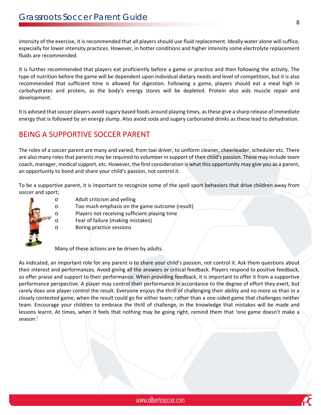intensity of the exercise, it is recommended that all players should use fluid replacement. Ideally water alone will suffice, especially for lower intensity practices. However, in hotter conditions and higher intensity some electrolyte replacement fluids are recommended.

It is further recommended that players eat proficiently before a game or practice and then following the activity. The type of nutrition before the game will be dependent upon individual dietary needs and level of competition, but it is also recommended that sufficient time is allowed for digestion. Following a game, players should eat a meal high in carbohydrates and protein, as the body's energy stores will be depleted. Protein also aids muscle repair and development.

It is advised that soccer players avoid sugary based foods around playing times, as these give a sharp release of immediate energy that is followed by an energy slump. Also avoid soda and sugary carbonated drinks as these lead to dehydration.

# BEING A SUPPORTIVE SOCCER PARENT

The roles of a soccer parent are many and varied, from taxi driver, to uniform cleaner, cheerleader, scheduler etc. There are also many roles that parents may be required to volunteer in support of their child's passion. These may include team coach, manager, medical support, etc. However, the first consideration is what this opportunity may give you as a parent, an opportunity to bond and share your child's passion, not control it.

To be a supportive parent, it is important to recognize some of the spoil sport behaviors that drive children away from soccer and sport;



- o Adult criticism and yelling
- o Too much emphasis on the game outcome (result)
- o Players not receiving sufficient playing time
- o Fear of failure (making mistakes)
- o Boring practice sessions

Many of these actions are be driven by adults.

As indicated, an important role for any parent is to share your child's passion, not control it. Ask them questions about their interest and performances. Avoid giving all the answers or critical feedback. Players respond to positive feedback, so offer praise and support to their performance. When providing feedback, it is important to offer it from a supportive performance perspective. A player may control their performance in accordance to the degree of effort they exert, but rarely does one player control the result. Everyone enjoys the thrill of challenging their ability and no more so than in a closely contested game, when the result could go for either team; rather than a one‐sided game that challenges neither team. Encourage your children to embrace the thrill of challenge, in the knowledge that mistakes will be made and lessons learnt. At times, when it feels that nothing may be going right, remind them that 'one game doesn't make a season.'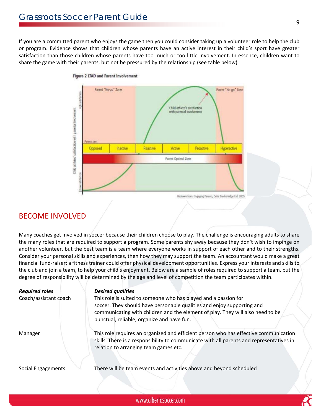If you are a committed parent who enjoys the game then you could consider taking up a volunteer role to help the club or program. Evidence shows that children whose parents have an active interest in their child's sport have greater satisfaction than those children whose parents have too much or too little involvement. In essence, children want to share the game with their parents, but not be pressured by the relationship (see table below).



Figure 2 LTAD and Parent Involvement

#### BECOME INVOLVED

Many coaches get involved in soccer because their children choose to play. The challenge is encouraging adults to share the many roles that are required to support a program. Some parents shy away because they don't wish to impinge on another volunteer, but the best team is a team where everyone works in support of each other and to their strengths. Consider your personal skills and experiences, then how they may support the team. An accountant would make a great financial fund-raiser; a fitness trainer could offer physical development opportunities. Express your interests and skills to the club and join a team, to help your child's enjoyment. Below are a sample of roles required to support a team, but the degree of responsibility will be determined by the age and level of competition the team participates within.

| <b>Required roles</b> | <b>Desired qualities</b>                                                                                                                                                                                                  |
|-----------------------|---------------------------------------------------------------------------------------------------------------------------------------------------------------------------------------------------------------------------|
| Coach/assistant coach | This role is suited to someone who has played and a passion for                                                                                                                                                           |
|                       | soccer. They should have personable qualities and enjoy supporting and                                                                                                                                                    |
|                       | communicating with children and the element of play. They will also need to be                                                                                                                                            |
|                       | punctual, reliable, organize and have fun.                                                                                                                                                                                |
| Manager               | This role requires an organized and efficient person who has effective communication<br>skills. There is a responsibility to communicate with all parents and representatives in<br>relation to arranging team games etc. |
|                       |                                                                                                                                                                                                                           |
| Social Engagements    | There will be team events and activities above and beyond scheduled                                                                                                                                                       |
|                       |                                                                                                                                                                                                                           |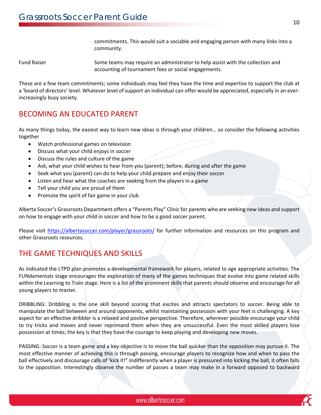commitments. This would suit a sociable and engaging person with many links into a community.

Fund Raiser Some teams may require an administrator to help assist with the collection and accounting of tournament fees or social engagements.

These are a few team commitments; some individuals may feel they have the time and expertise to support the club at a 'board of directors' level. Whatever level of support an individual can offer would be appreciated, especially in an ever‐ increasingly busy society.

### BECOMING AN EDUCATED PARENT

As many things today, the easiest way to learn new ideas is through your children… so consider the following activities together

- Watch professional games on television
- Discuss what your child enjoys in soccer
- Discuss the rules and culture of the game
- Ask, what your child wishes to hear from you (parent); before, during and after the game
- Seek what you (parent) can do to help your child prepare and enjoy their soccer
- Listen and hear what the coaches are seeking from the players in a game
- Tell your child you are proud of them
- Promote the spirit of fair game in your club

Alberta Soccer's Grassroots Department offers a "Parents Play" Clinic for parents who are seeking new ideas and support on how to engage with your child in soccer and how to be a good soccer parent.

Please visit https://albertasoccer.com/player/grassroots/ for further information and resources on this program and other Grassroots resources.

# THE GAME TECHNIQUES AND SKILLS

As indicated the LTPD plan promotes a developmental framework for players, related to age appropriate activities. The FUNdamentals stage encourages the exploration of many of the games techniques that evolve into game related skills within the Learning to Train stage. Here is a list of the prominent skills that parents should observe and encourage for all young players to master.

DRIBBLING: Dribbling is the one skill beyond scoring that excites and attracts spectators to soccer. Being able to manipulate the ball between and around opponents, whilst maintaining possession with your feet is challenging. A key aspect for an effective dribbler is a relaxed and positive perspective. Therefore, wherever possible encourage your child to try tricks and moves and never reprimand them when they are unsuccessful. Even the most skilled players lose possession at times; the key is that they have the courage to keep playing and developing new moves.

PASSING: Soccer is a team game and a key objective is to move the ball quicker than the opposition may pursue it. The most effective manner of achieving this is through passing, encourage players to recognize how and when to pass the ball effectively and discourage calls of 'kick it!" Indifferently when a player is pressured into kicking the ball, it often falls to the opposition. Interestingly observe the number of passes a team may make in a forward opposed to backward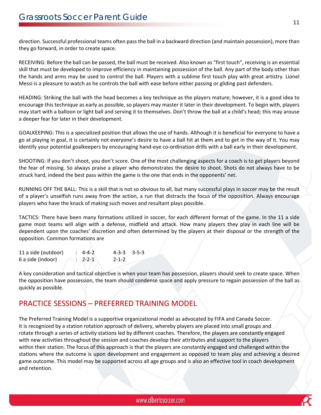direction. Successful professional teams often passthe ball in a backward direction (and maintain possession), more than they go forward, in order to create space.

RECEIVING: Before the ball can be passed, the ball must be received. Also known as "first touch", receiving is an essential skill that must be developed to improve efficiency in maintaining possession of the ball. Any part of the body other than the hands and arms may be used to control the ball. Players with a sublime first touch play with great artistry. Lionel Messi is a pleasure to watch as he controls the ball with ease before either passing or gliding past defenders.

HEADING: Striking the ball with the head becomes a key technique as the players mature; however, it is a good idea to encourage this technique as early as possible, so players may master it later in their development. To begin with, players may start with a balloon or light ball and serving it to themselves. Don't throw the ball at a child's head; this may arouse a deeper fear for later in their development.

GOALKEEPING: This is a specialized position that allows the use of hands. Although it is beneficial for everyone to have a go at playing in goal, it is certainly not everyone's desire to have a ball hit at them and to get in the way of it. You may identify your potential goalkeepers by encouraging hand‐eye co‐ordination drills with a ball early in their development.

SHOOTING: If you don't shoot, you don't score. One of the most challenging aspects for a coach is to get players beyond the fear of missing. So always praise a player who demonstrates the desire to shoot. Shots do not always have to be struck hard, indeed the best pass within the game is the one that ends in the opponents' net.

RUNNING OFF THE BALL: This is a skill that is not so obvious to all, but many successful plays in soccer may be the result of a player's unselfish runs away from the action, a run that distracts the focus of the opposition. Always encourage players who have the knack of making such moves and resultant plays possible.

TACTICS: There have been many formations utilized in soccer, for each different format of the game. In the 11 a side game most teams will align with a defense, midfield and attack. How many players they play in each line will be dependent upon the coaches' discretion and often determined by the players at their disposal or the strength of the opposition. Common formations are

| 11 a side (outdoor) | $: 4-4-2$ | $4-3-3$ $3-5-3$ |  |
|---------------------|-----------|-----------------|--|
| 6 a side (indoor)   | $: 2-2-1$ | $2 - 1 - 2$     |  |

A key consideration and tactical objective is when your team has possession, players should seek to create space. When the opposition have possession, the team should condense space and apply pressure to regain possession of the ball as quickly as possible.

# PRACTICE SESSIONS – PREFERRED TRAINING MODEL

The Preferred Training Model is a supportive organizational model as advocated by FIFA and Canada Soccer. It is recognized by a station rotation approach of delivery, whereby players are placed into small groups and rotate through a series of activity stations led by different coaches. Therefore, the players are constantly engaged with new activities throughout the session and coaches develop their attributes and support to the players within their station. The focus of this approach is that the players are constantly engaged and challenged within the stations where the outcome is upon development and engagement as opposed to team play and achieving a desired game outcome. This model may be supported across all age groups and is also an effective tool in coach development and retention.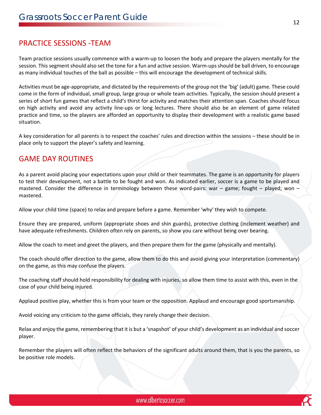#### PRACTICE SESSIONS ‐TEAM

Team practice sessions usually commence with a warm-up to loosen the body and prepare the players mentally for the session. This segment should also set the tone for a fun and active session. Warm-ups should be ball driven, to encourage as many individual touches of the ball as possible – this will encourage the development of technical skills.

Activities must be age‐appropriate, and dictated by the requirements of the group not the 'big' (adult) game. These could come in the form of individual, small group, large group or whole team activities. Typically, the session should present a series of short fun games that reflect a child's thirst for activity and matches their attention span. Coaches should focus on high activity and avoid any activity line‐ups or long lectures. There should also be an element of game related practice and time, so the players are afforded an opportunity to display their development with a realistic game based situation.

A key consideration for all parents is to respect the coaches' rules and direction within the sessions – these should be in place only to support the player's safety and learning.

#### GAME DAY ROUTINES

As a parent avoid placing your expectations upon your child or their teammates. The game is an opportunity for players to test their development, not a battle to be fought and won. As indicated earlier, soccer is a game to be played and mastered. Consider the difference in terminology between these word-pairs: war – game; fought – played; won – mastered.

Allow your child time (space) to relax and prepare before a game. Remember 'why' they wish to compete.

Ensure they are prepared, uniform (appropriate shoes and shin guards), protective clothing (inclement weather) and have adequate refreshments. Children often rely on parents, so show you care without being over bearing.

Allow the coach to meet and greet the players, and then prepare them for the game (physically and mentally).

The coach should offer direction to the game, allow them to do this and avoid giving your interpretation (commentary) on the game, as this may confuse the players.

The coaching staff should hold responsibility for dealing with injuries, so allow them time to assist with this, even in the case of your child being injured.

Applaud positive play, whether this is from your team or the opposition. Applaud and encourage good sportsmanship.

Avoid voicing any criticism to the game officials, they rarely change their decision.

Relax and enjoy the game, remembering that it is but a 'snapshot' of your child's development as an individual and soccer player.

Remember the players will often reflect the behaviors of the significant adults around them, that is you the parents, so be positive role models.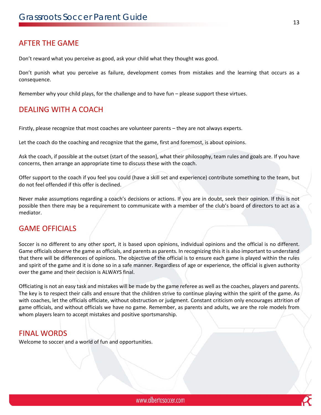#### AFTER THE GAME

Don't reward what you perceive as good, ask your child what they thought was good.

Don't punish what you perceive as failure, development comes from mistakes and the learning that occurs as a consequence.

Remember why your child plays, for the challenge and to have fun – please support these virtues.

#### DEALING WITH A COACH

Firstly, please recognize that most coaches are volunteer parents – they are not always experts.

Let the coach do the coaching and recognize that the game, first and foremost, is about opinions.

Ask the coach, if possible at the outset (start of the season), what their philosophy, team rules and goals are. If you have concerns, then arrange an appropriate time to discuss these with the coach.

Offer support to the coach if you feel you could (have a skill set and experience) contribute something to the team, but do not feel offended if this offer is declined.

Never make assumptions regarding a coach's decisions or actions. If you are in doubt, seek their opinion. If this is not possible then there may be a requirement to communicate with a member of the club's board of directors to act as a mediator.

#### GAME OFFICIALS

Soccer is no different to any other sport, it is based upon opinions, individual opinions and the official is no different. Game officials observe the game as officials, and parents as parents. In recognizing this it is also important to understand that there will be differences of opinions. The objective of the official is to ensure each game is played within the rules and spirit of the game and it is done so in a safe manner. Regardless of age or experience, the official is given authority over the game and their decision is ALWAYS final.

Officiating is not an easy task and mistakes will be made by the game referee as well as the coaches, players and parents. The key is to respect their calls and ensure that the children strive to continue playing within the spirit of the game. As with coaches, let the officials officiate, without obstruction or judgment. Constant criticism only encourages attrition of game officials, and without officials we have no game. Remember, as parents and adults, we are the role models from whom players learn to accept mistakes and positive sportsmanship.

#### FINAL WORDS

Welcome to soccer and a world of fun and opportunities.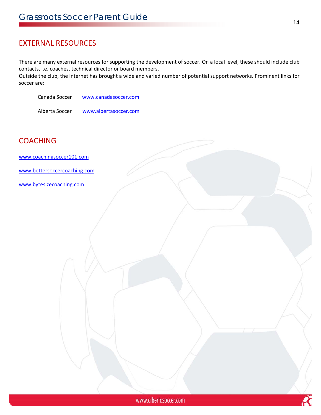# EXTERNAL RESOURCES

There are many external resources for supporting the development of soccer. On a local level, these should include club contacts, i.e. coaches, technical director or board members.

Outside the club, the internet has brought a wide and varied number of potential support networks. Prominent links for soccer are:

Canada Soccer www.canadasoccer.com

Alberta Soccer www.albertasoccer.com

# **COACHING**

www.coachingsoccer101.com

www.bettersoccercoaching.com

www.bytesizecoaching.com